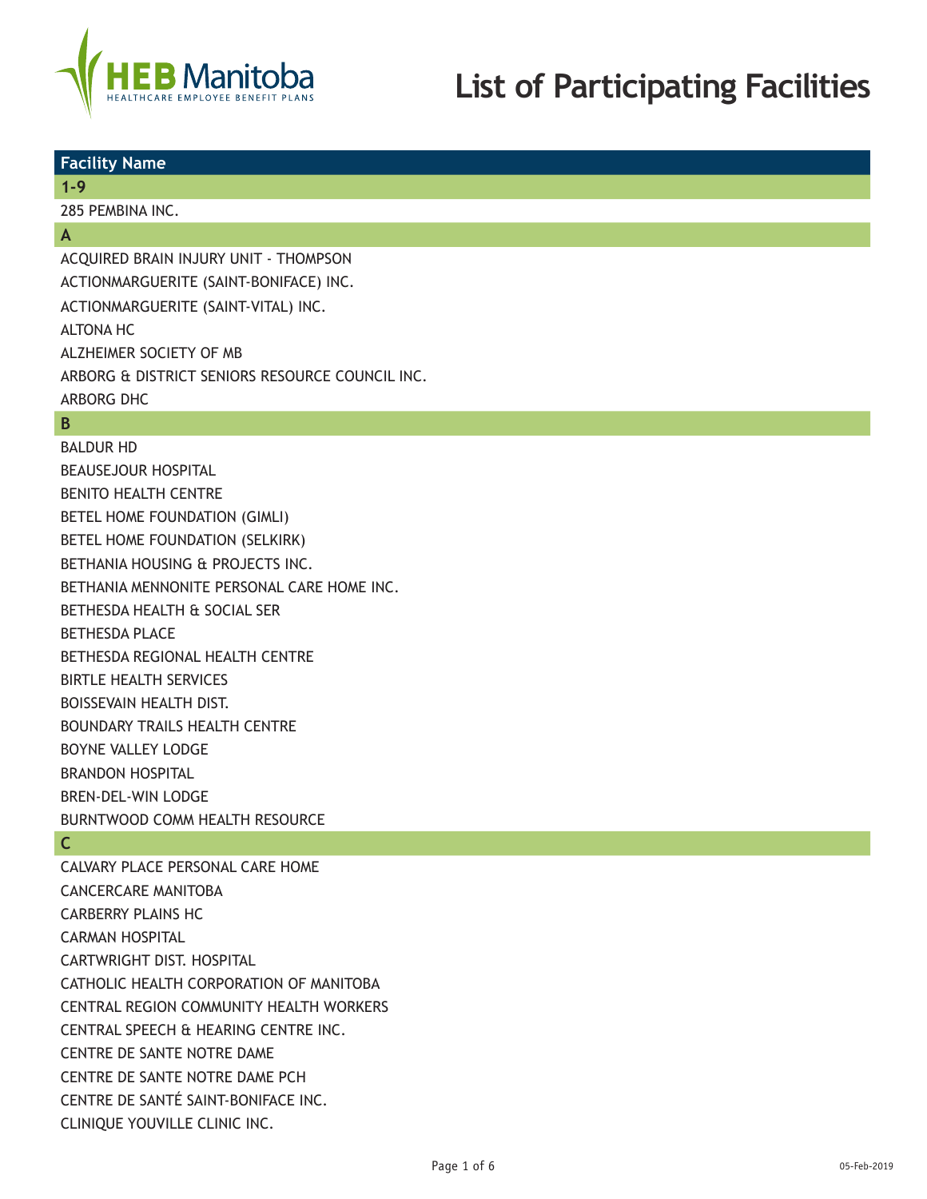

# **List of Participating Facilities**

## **Facility Name**

**1-9**

285 PEMBINA INC.

## **A**

ACQUIRED BRAIN INJURY UNIT - THOMPSON ACTIONMARGUERITE (SAINT-BONIFACE) INC. ACTIONMARGUERITE (SAINT-VITAL) INC. ALTONA HC ALZHEIMER SOCIETY OF MB ARBORG & DISTRICT SENIORS RESOURCE COUNCIL INC. ARBORG DHC

# **B**

BALDUR HD BEAUSEJOUR HOSPITAL BENITO HEALTH CENTRE BETEL HOME FOUNDATION (GIMLI) BETEL HOME FOUNDATION (SELKIRK) BETHANIA HOUSING & PROJECTS INC. BETHANIA MENNONITE PERSONAL CARE HOME INC. BETHESDA HEALTH & SOCIAL SER BETHESDA PLACE BETHESDA REGIONAL HEALTH CENTRE BIRTLE HEALTH SERVICES BOISSEVAIN HEALTH DIST. BOUNDARY TRAILS HEALTH CENTRE BOYNE VALLEY LODGE BRANDON HOSPITAL BREN-DEL-WIN LODGE BURNTWOOD COMM HEALTH RESOURCE

# **C**

CALVARY PLACE PERSONAL CARE HOME CANCERCARE MANITOBA CARBERRY PLAINS HC CARMAN HOSPITAL CARTWRIGHT DIST. HOSPITAL CATHOLIC HEALTH CORPORATION OF MANITOBA CENTRAL REGION COMMUNITY HEALTH WORKERS CENTRAL SPEECH & HEARING CENTRE INC. CENTRE DE SANTE NOTRE DAME CENTRE DE SANTE NOTRE DAME PCH CENTRE DE SANTÉ SAINT-BONIFACE INC. CLINIQUE YOUVILLE CLINIC INC.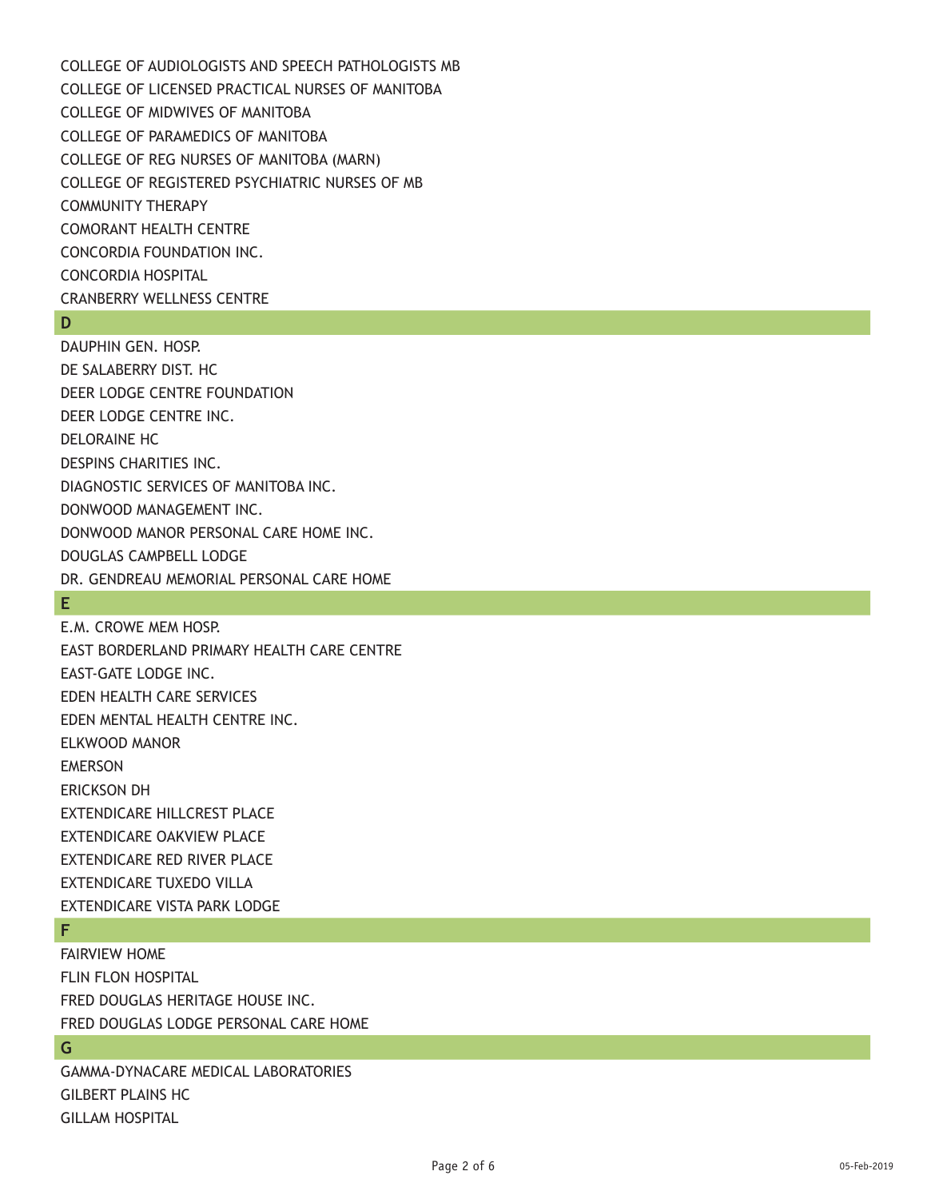COLLEGE OF AUDIOLOGISTS AND SPEECH PATHOLOGISTS MB COLLEGE OF LICENSED PRACTICAL NURSES OF MANITOBA COLLEGE OF MIDWIVES OF MANITOBA COLLEGE OF PARAMEDICS OF MANITOBA COLLEGE OF REG NURSES OF MANITOBA (MARN) COLLEGE OF REGISTERED PSYCHIATRIC NURSES OF MB COMMUNITY THERAPY COMORANT HEALTH CENTRE CONCORDIA FOUNDATION INC. CONCORDIA HOSPITAL CRANBERRY WELLNESS CENTRE

#### **D**

DAUPHIN GEN. HOSP. DE SALABERRY DIST. HC DEER LODGE CENTRE FOUNDATION DEER LODGE CENTRE INC. DELORAINE HC DESPINS CHARITIES INC. DIAGNOSTIC SERVICES OF MANITOBA INC. DONWOOD MANAGEMENT INC. DONWOOD MANOR PERSONAL CARE HOME INC. DOUGLAS CAMPBELL LODGE DR. GENDREAU MEMORIAL PERSONAL CARE HOME

## **E**

E.M. CROWE MEM HOSP. EAST BORDERLAND PRIMARY HEALTH CARE CENTRE EAST-GATE LODGE INC. EDEN HEALTH CARE SERVICES EDEN MENTAL HEALTH CENTRE INC. ELKWOOD MANOR EMERSON ERICKSON DH EXTENDICARE HILLCREST PLACE EXTENDICARE OAKVIEW PLACE EXTENDICARE RED RIVER PLACE EXTENDICARE TUXEDO VILLA EXTENDICARE VISTA PARK LODGE

## **F**

FAIRVIEW HOME FLIN FLON HOSPITAL FRED DOUGLAS HERITAGE HOUSE INC. FRED DOUGLAS LODGE PERSONAL CARE HOME

## **G**

GAMMA-DYNACARE MEDICAL LABORATORIES GILBERT PLAINS HC GILLAM HOSPITAL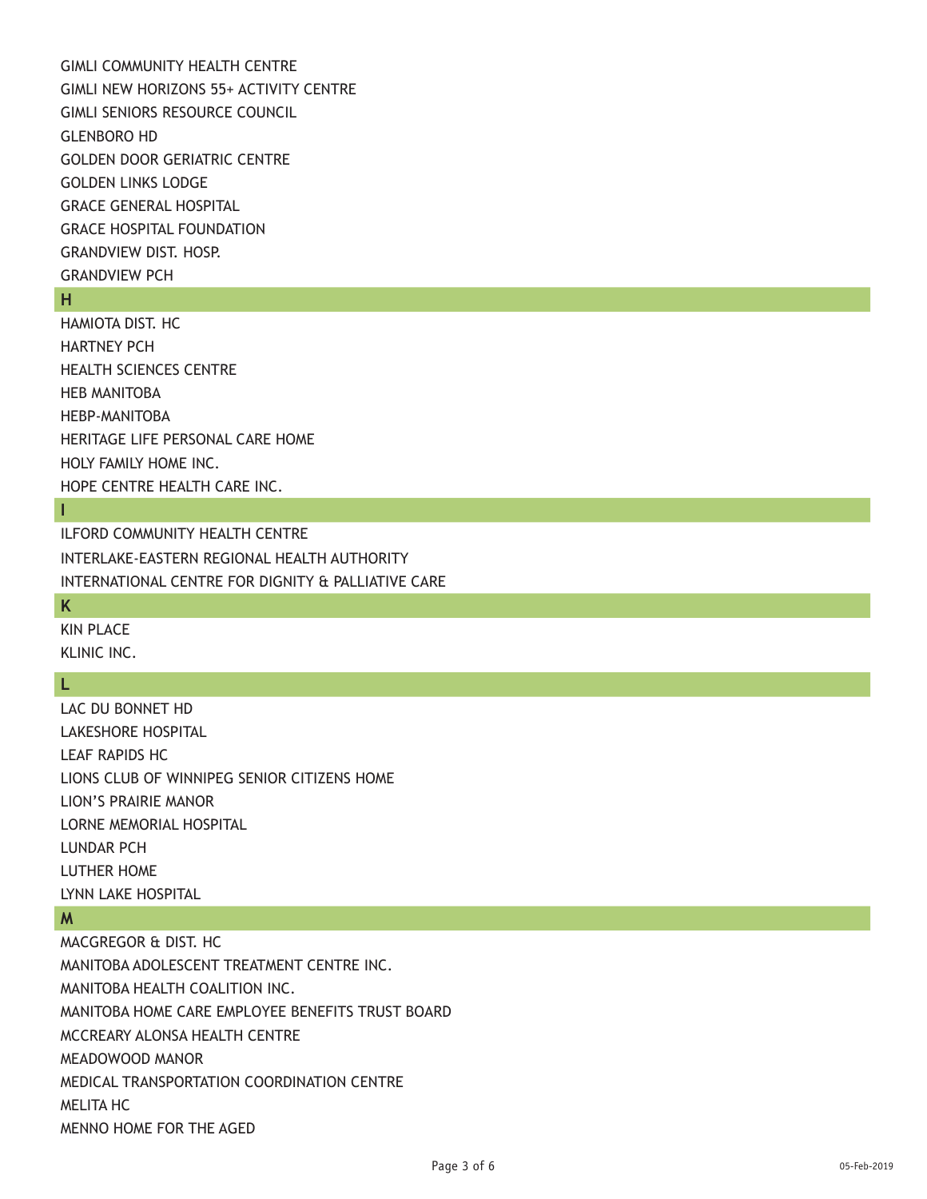GIMLI COMMUNITY HEALTH CENTRE GIMLI NEW HORIZONS 55+ ACTIVITY CENTRE GIMLI SENIORS RESOURCE COUNCIL GLENBORO HD GOLDEN DOOR GERIATRIC CENTRE GOLDEN LINKS LODGE GRACE GENERAL HOSPITAL GRACE HOSPITAL FOUNDATION GRANDVIEW DIST. HOSP. GRANDVIEW PCH

## **H**

HAMIOTA DIST. HC HARTNEY PCH HEALTH SCIENCES CENTRE HEB MANITOBA HEBP-MANITOBA HERITAGE LIFE PERSONAL CARE HOME HOLY FAMILY HOME INC. HOPE CENTRE HEALTH CARE INC.

## **I**

ILFORD COMMUNITY HEALTH CENTRE INTERLAKE-EASTERN REGIONAL HEALTH AUTHORITY INTERNATIONAL CENTRE FOR DIGNITY & PALLIATIVE CARE

## **K**

KIN PLACE KLINIC INC.

## **L**

LAC DU BONNET HD LAKESHORE HOSPITAL LEAF RAPIDS HC LIONS CLUB OF WINNIPEG SENIOR CITIZENS HOME LION'S PRAIRIE MANOR LORNE MEMORIAL HOSPITAL LUNDAR PCH LUTHER HOME LYNN LAKE HOSPITAL

#### **M**

MACGREGOR & DIST. HC MANITOBA ADOLESCENT TREATMENT CENTRE INC. MANITOBA HEALTH COALITION INC. MANITOBA HOME CARE EMPLOYEE BENEFITS TRUST BOARD MCCREARY ALONSA HEALTH CENTRE MEADOWOOD MANOR MEDICAL TRANSPORTATION COORDINATION CENTRE MELITA HC MENNO HOME FOR THE AGED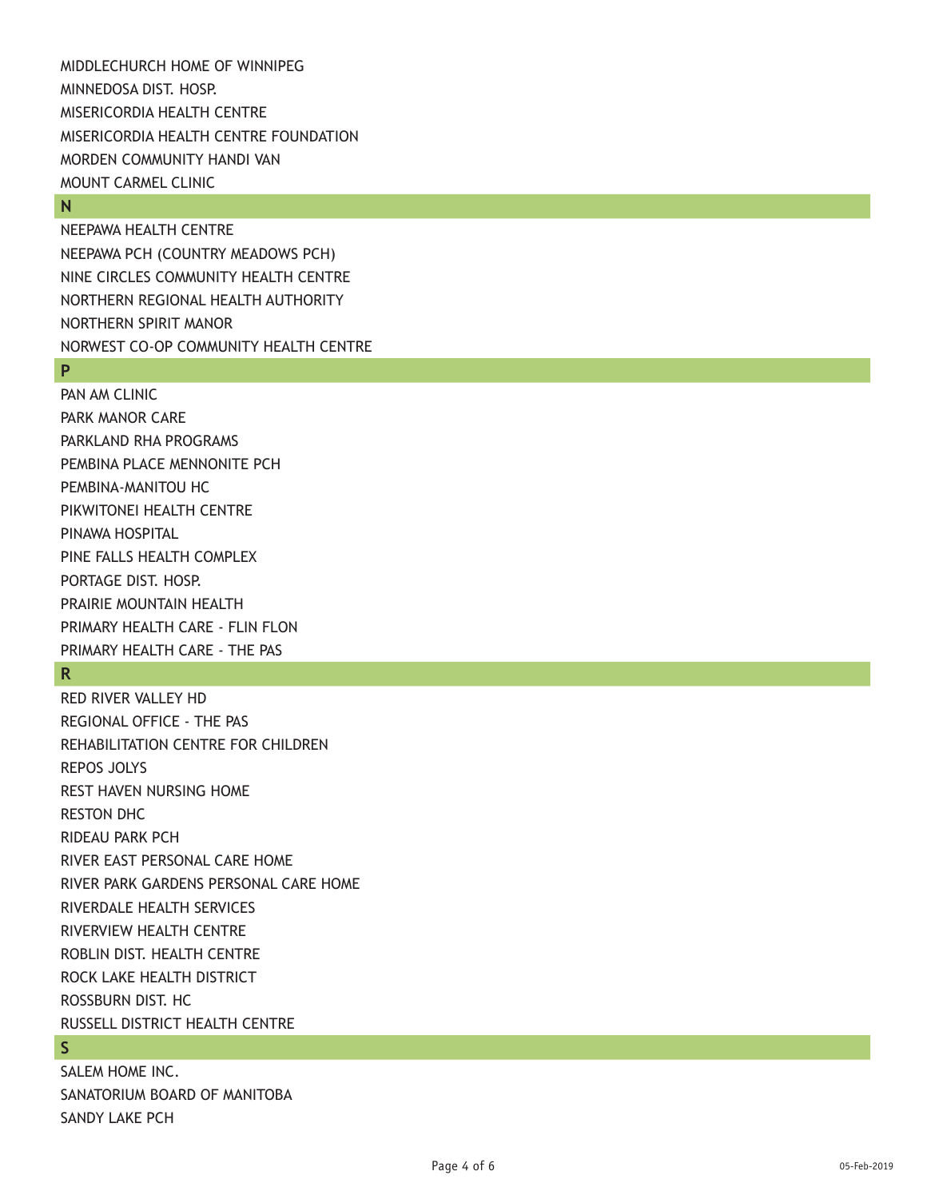MIDDLECHURCH HOME OF WINNIPEG MINNEDOSA DIST. HOSP. MISERICORDIA HEALTH CENTRE MISERICORDIA HEALTH CENTRE FOUNDATION MORDEN COMMUNITY HANDI VAN MOUNT CARMEL CLINIC

#### **N**

NEEPAWA HEALTH CENTRE NEEPAWA PCH (COUNTRY MEADOWS PCH) NINE CIRCLES COMMUNITY HEALTH CENTRE NORTHERN REGIONAL HEALTH AUTHORITY NORTHERN SPIRIT MANOR NORWEST CO-OP COMMUNITY HEALTH CENTRE

#### **P**

PAN AM CLINIC PARK MANOR CARE PARKLAND RHA PROGRAMS PEMBINA PLACE MENNONITE PCH PEMBINA-MANITOU HC PIKWITONEI HEALTH CENTRE PINAWA HOSPITAL PINE FALLS HEALTH COMPLEX PORTAGE DIST. HOSP. PRAIRIE MOUNTAIN HEALTH PRIMARY HEALTH CARE - FLIN FLON PRIMARY HEALTH CARE - THE PAS

## **R**

RED RIVER VALLEY HD REGIONAL OFFICE - THE PAS REHABILITATION CENTRE FOR CHILDREN REPOS JOLYS REST HAVEN NURSING HOME RESTON DHC RIDEAU PARK PCH RIVER EAST PERSONAL CARE HOME RIVER PARK GARDENS PERSONAL CARE HOME RIVERDALE HEALTH SERVICES RIVERVIEW HEALTH CENTRE ROBLIN DIST. HEALTH CENTRE ROCK LAKE HEALTH DISTRICT ROSSBURN DIST. HC RUSSELL DISTRICT HEALTH CENTRE

# **S**

SALEM HOME INC. SANATORIUM BOARD OF MANITOBA SANDY LAKE PCH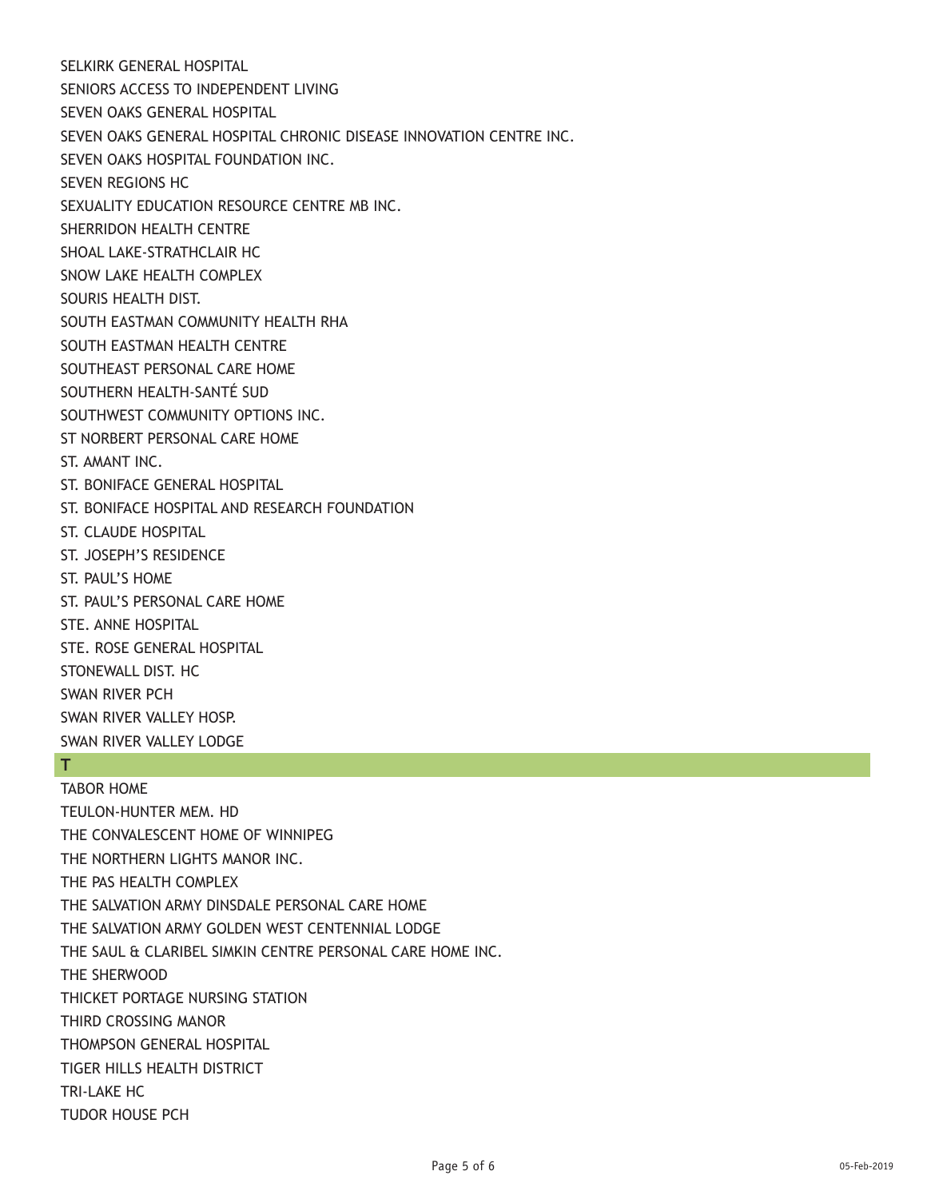SELKIRK GENERAL HOSPITAL SENIORS ACCESS TO INDEPENDENT LIVING SEVEN OAKS GENERAL HOSPITAL SEVEN OAKS GENERAL HOSPITAL CHRONIC DISEASE INNOVATION CENTRE INC. SEVEN OAKS HOSPITAL FOUNDATION INC. SEVEN REGIONS HC SEXUALITY EDUCATION RESOURCE CENTRE MB INC. SHERRIDON HEALTH CENTRE SHOAL LAKE-STRATHCLAIR HC SNOW LAKE HEALTH COMPLEX SOURIS HEALTH DIST. SOUTH EASTMAN COMMUNITY HEALTH RHA SOUTH EASTMAN HEALTH CENTRE SOUTHEAST PERSONAL CARE HOME SOUTHERN HEALTH-SANTÉ SUD SOUTHWEST COMMUNITY OPTIONS INC. ST NORBERT PERSONAL CARE HOME ST. AMANT INC. ST. BONIFACE GENERAL HOSPITAL ST. BONIFACE HOSPITAL AND RESEARCH FOUNDATION ST. CLAUDE HOSPITAL ST. JOSEPH'S RESIDENCE ST. PAUL'S HOME ST. PAUL'S PERSONAL CARE HOME STE. ANNE HOSPITAL STE. ROSE GENERAL HOSPITAL STONEWALL DIST. HC SWAN RIVER PCH SWAN RIVER VALLEY HOSP. SWAN RIVER VALLEY LODGE

# **T**

TABOR HOME TEULON-HUNTER MEM. HD THE CONVALESCENT HOME OF WINNIPEG THE NORTHERN LIGHTS MANOR INC. THE PAS HEALTH COMPLEX THE SALVATION ARMY DINSDALE PERSONAL CARE HOME THE SALVATION ARMY GOLDEN WEST CENTENNIAL LODGE THE SAUL & CLARIBEL SIMKIN CENTRE PERSONAL CARE HOME INC. THE SHERWOOD THICKET PORTAGE NURSING STATION THIRD CROSSING MANOR THOMPSON GENERAL HOSPITAL TIGER HILLS HEALTH DISTRICT TRI-LAKE HC TUDOR HOUSE PCH